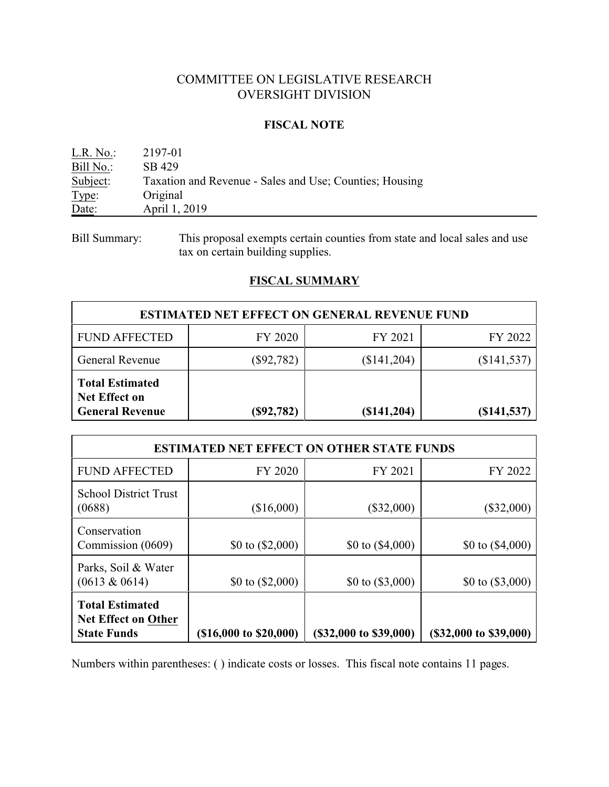# COMMITTEE ON LEGISLATIVE RESEARCH OVERSIGHT DIVISION

### **FISCAL NOTE**

| L.R. No.  | 2197-01                                                 |
|-----------|---------------------------------------------------------|
| Bill No.: | SB 429                                                  |
| Subject:  | Taxation and Revenue - Sales and Use; Counties; Housing |
| Type:     | Original                                                |
| Date:     | April 1, 2019                                           |

Bill Summary: This proposal exempts certain counties from state and local sales and use tax on certain building supplies.

# **FISCAL SUMMARY**

| <b>ESTIMATED NET EFFECT ON GENERAL REVENUE FUND</b>                      |              |               |               |  |  |  |
|--------------------------------------------------------------------------|--------------|---------------|---------------|--|--|--|
| <b>FUND AFFECTED</b>                                                     | FY 2020      | FY 2021       | FY 2022       |  |  |  |
| General Revenue                                                          | $(\$92,782)$ | (\$141,204)   | (\$141,537)   |  |  |  |
| <b>Total Estimated</b><br><b>Net Effect on</b><br><b>General Revenue</b> | (S92, 782)   | $(\$141,204)$ | $(\$141,537)$ |  |  |  |

| <b>ESTIMATED NET EFFECT ON OTHER STATE FUNDS</b>                           |                                   |                        |                             |  |  |  |
|----------------------------------------------------------------------------|-----------------------------------|------------------------|-----------------------------|--|--|--|
| <b>FUND AFFECTED</b>                                                       | FY 2020<br>FY 2021                |                        |                             |  |  |  |
| <b>School District Trust</b><br>(0688)                                     | (\$16,000)                        | $(\$32,000)$           | $(\$32,000)$                |  |  |  |
| Conservation<br>Commission (0609)                                          | \$0 to $(\$2,000)$                | \$0 to $(\$4,000)$     | \$0 to $(\$4,000)$          |  |  |  |
| Parks, Soil & Water<br>$(0613 \& 0614)$                                    | \$0 to $(\$2,000)$                | \$0 to $(\$3,000)$     | \$0 to $(\$3,000)$          |  |  |  |
| <b>Total Estimated</b><br><b>Net Effect on Other</b><br><b>State Funds</b> | $(\$16,000 \text{ to } \$20,000)$ | (\$32,000 to \$39,000) | $(\$32,000$ to $\$39,000$ ) |  |  |  |

Numbers within parentheses: ( ) indicate costs or losses. This fiscal note contains 11 pages.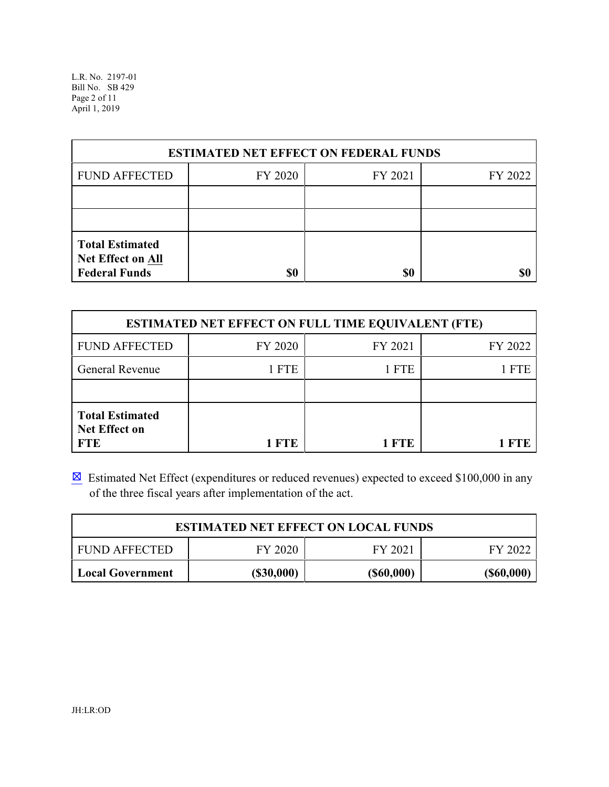L.R. No. 2197-01 Bill No. SB 429 Page 2 of 11 April 1, 2019

| <b>ESTIMATED NET EFFECT ON FEDERAL FUNDS</b>                        |     |     |  |  |  |  |  |
|---------------------------------------------------------------------|-----|-----|--|--|--|--|--|
| <b>FUND AFFECTED</b><br>FY 2020<br>FY 2021<br>FY 2022               |     |     |  |  |  |  |  |
|                                                                     |     |     |  |  |  |  |  |
|                                                                     |     |     |  |  |  |  |  |
| <b>Total Estimated</b><br>Net Effect on All<br><b>Federal Funds</b> | \$0 | \$0 |  |  |  |  |  |

| <b>ESTIMATED NET EFFECT ON FULL TIME EQUIVALENT (FTE)</b>    |         |         |         |  |  |  |
|--------------------------------------------------------------|---------|---------|---------|--|--|--|
| <b>FUND AFFECTED</b>                                         | FY 2020 | FY 2021 | FY 2022 |  |  |  |
| <b>General Revenue</b>                                       | 1 FTE   | 1 FTE   | 1 FTE   |  |  |  |
|                                                              |         |         |         |  |  |  |
| <b>Total Estimated</b><br><b>Net Effect on</b><br><b>FTE</b> | 1 FTE   | 1 FTE   | 1 FTF.  |  |  |  |

**Estimated Net Effect (expenditures or reduced revenues) expected to exceed \$100,000 in any** of the three fiscal years after implementation of the act.

| <b>ESTIMATED NET EFFECT ON LOCAL FUNDS</b>                          |  |  |  |  |  |  |
|---------------------------------------------------------------------|--|--|--|--|--|--|
| FY 2020<br><b>FUND AFFECTED</b><br>FY 2021<br>FY 2022               |  |  |  |  |  |  |
| $($ \$60,000)<br>$($ \$30,000)<br>$($ \$60,000)<br>Local Government |  |  |  |  |  |  |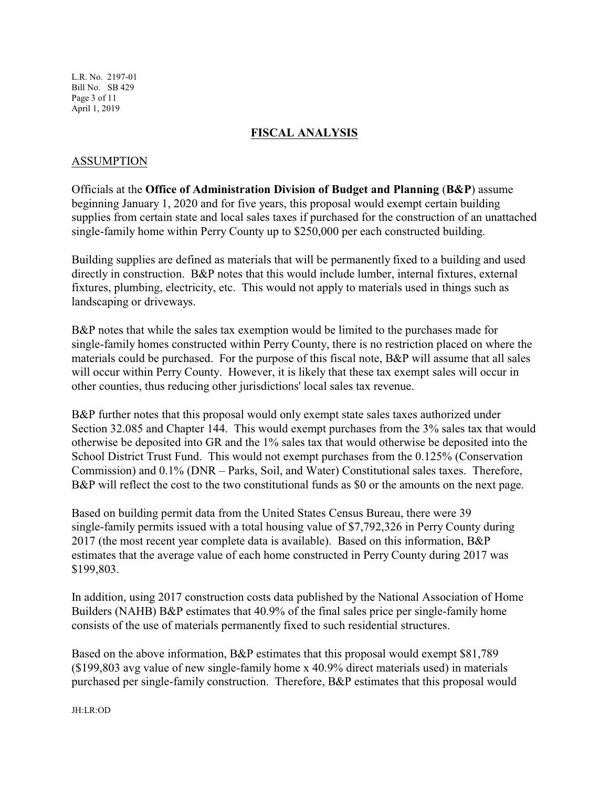L.R. No. 2197-01 Bill No. SB 429 Page 3 of 11 April 1, 2019

### **FISCAL ANALYSIS**

### ASSUMPTION

Officials at the **Office of Administration Division of Budget and Planning** (**B&P**) assume beginning January 1, 2020 and for five years, this proposal would exempt certain building supplies from certain state and local sales taxes if purchased for the construction of an unattached single-family home within Perry County up to \$250,000 per each constructed building.

Building supplies are defined as materials that will be permanently fixed to a building and used directly in construction. B&P notes that this would include lumber, internal fixtures, external fixtures, plumbing, electricity, etc. This would not apply to materials used in things such as landscaping or driveways.

B&P notes that while the sales tax exemption would be limited to the purchases made for single-family homes constructed within Perry County, there is no restriction placed on where the materials could be purchased. For the purpose of this fiscal note, B&P will assume that all sales will occur within Perry County. However, it is likely that these tax exempt sales will occur in other counties, thus reducing other jurisdictions' local sales tax revenue.

B&P further notes that this proposal would only exempt state sales taxes authorized under Section 32.085 and Chapter 144. This would exempt purchases from the 3% sales tax that would otherwise be deposited into GR and the 1% sales tax that would otherwise be deposited into the School District Trust Fund. This would not exempt purchases from the 0.125% (Conservation Commission) and 0.1% (DNR – Parks, Soil, and Water) Constitutional sales taxes. Therefore, B&P will reflect the cost to the two constitutional funds as \$0 or the amounts on the next page.

Based on building permit data from the United States Census Bureau, there were 39 single-family permits issued with a total housing value of \$7,792,326 in Perry County during 2017 (the most recent year complete data is available). Based on this information, B&P estimates that the average value of each home constructed in Perry County during 2017 was \$199,803.

In addition, using 2017 construction costs data published by the National Association of Home Builders (NAHB) B&P estimates that 40.9% of the final sales price per single-family home consists of the use of materials permanently fixed to such residential structures.

Based on the above information, B&P estimates that this proposal would exempt \$81,789 (\$199,803 avg value of new single-family home x 40.9% direct materials used) in materials purchased per single-family construction. Therefore, B&P estimates that this proposal would

JH:LR:OD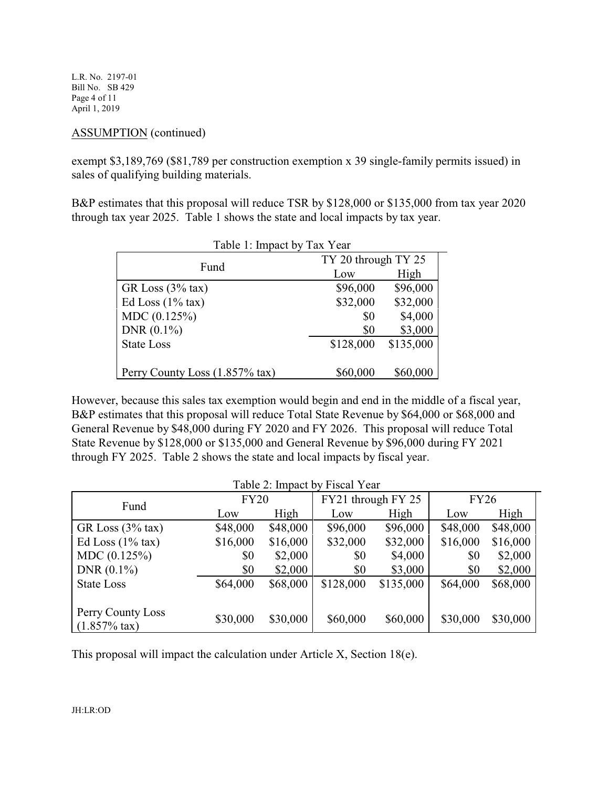L.R. No. 2197-01 Bill No. SB 429 Page 4 of 11 April 1, 2019

### ASSUMPTION (continued)

exempt \$3,189,769 (\$81,789 per construction exemption x 39 single-family permits issued) in sales of qualifying building materials.

B&P estimates that this proposal will reduce TSR by \$128,000 or \$135,000 from tax year 2020 through tax year 2025. Table 1 shows the state and local impacts by tax year.

| Table 1: Impact by Tax Year    |                     |           |  |  |
|--------------------------------|---------------------|-----------|--|--|
| Fund                           | TY 20 through TY 25 |           |  |  |
|                                | Low                 | High      |  |  |
| GR Loss $(3%$ tax)             | \$96,000            | \$96,000  |  |  |
| Ed Loss $(1\%$ tax)            | \$32,000            | \$32,000  |  |  |
| MDC (0.125%)                   | \$0                 | \$4,000   |  |  |
| DNR $(0.1\%)$                  | \$0                 | \$3,000   |  |  |
| <b>State Loss</b>              | \$128,000           | \$135,000 |  |  |
|                                |                     |           |  |  |
| Perry County Loss (1.857% tax) | \$60,000            | \$60,000  |  |  |

However, because this sales tax exemption would begin and end in the middle of a fiscal year, B&P estimates that this proposal will reduce Total State Revenue by \$64,000 or \$68,000 and General Revenue by \$48,000 during FY 2020 and FY 2026. This proposal will reduce Total State Revenue by \$128,000 or \$135,000 and General Revenue by \$96,000 during FY 2021 through FY 2025. Table 2 shows the state and local impacts by fiscal year.

| Table 2: Impact by Fiscal Year |             |          |                    |           |             |          |
|--------------------------------|-------------|----------|--------------------|-----------|-------------|----------|
| Fund                           | <b>FY20</b> |          | FY21 through FY 25 |           | <b>FY26</b> |          |
|                                | Low         | High     | Low                | High      | Low         | High     |
| GR Loss $(3%$ tax)             | \$48,000    | \$48,000 | \$96,000           | \$96,000  | \$48,000    | \$48,000 |
| Ed Loss $(1\%$ tax)            | \$16,000    | \$16,000 | \$32,000           | \$32,000  | \$16,000    | \$16,000 |
| MDC(0.125%)                    | \$0         | \$2,000  | \$0                | \$4,000   | \$0         | \$2,000  |
| DNR $(0.1\%)$                  | \$0         | \$2,000  | \$0                | \$3,000   | \$0         | \$2,000  |
| <b>State Loss</b>              | \$64,000    | \$68,000 | \$128,000          | \$135,000 | \$64,000    | \$68,000 |
|                                |             |          |                    |           |             |          |
| Perry County Loss              | \$30,000    | \$30,000 | \$60,000           | \$60,000  | \$30,000    | \$30,000 |
| $(1.857\% \text{ tax})$        |             |          |                    |           |             |          |

This proposal will impact the calculation under Article X, Section 18(e).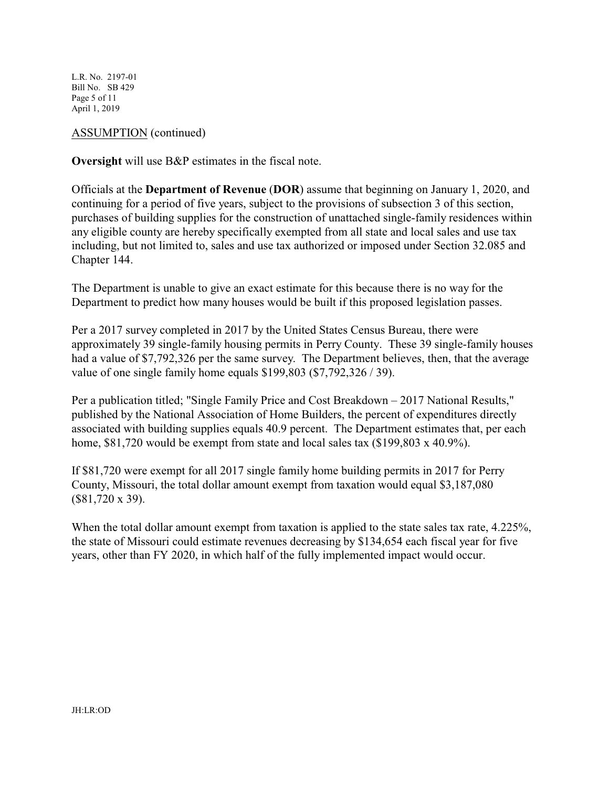L.R. No. 2197-01 Bill No. SB 429 Page 5 of 11 April 1, 2019

ASSUMPTION (continued)

**Oversight** will use B&P estimates in the fiscal note.

Officials at the **Department of Revenue** (**DOR**) assume that beginning on January 1, 2020, and continuing for a period of five years, subject to the provisions of subsection 3 of this section, purchases of building supplies for the construction of unattached single-family residences within any eligible county are hereby specifically exempted from all state and local sales and use tax including, but not limited to, sales and use tax authorized or imposed under Section 32.085 and Chapter 144.

The Department is unable to give an exact estimate for this because there is no way for the Department to predict how many houses would be built if this proposed legislation passes.

Per a 2017 survey completed in 2017 by the United States Census Bureau, there were approximately 39 single-family housing permits in Perry County. These 39 single-family houses had a value of \$7,792,326 per the same survey. The Department believes, then, that the average value of one single family home equals \$199,803 (\$7,792,326 / 39).

Per a publication titled; "Single Family Price and Cost Breakdown – 2017 National Results," published by the National Association of Home Builders, the percent of expenditures directly associated with building supplies equals 40.9 percent. The Department estimates that, per each home, \$81,720 would be exempt from state and local sales tax (\$199,803 x 40.9%).

If \$81,720 were exempt for all 2017 single family home building permits in 2017 for Perry County, Missouri, the total dollar amount exempt from taxation would equal \$3,187,080 (\$81,720 x 39).

When the total dollar amount exempt from taxation is applied to the state sales tax rate, 4.225%, the state of Missouri could estimate revenues decreasing by \$134,654 each fiscal year for five years, other than FY 2020, in which half of the fully implemented impact would occur.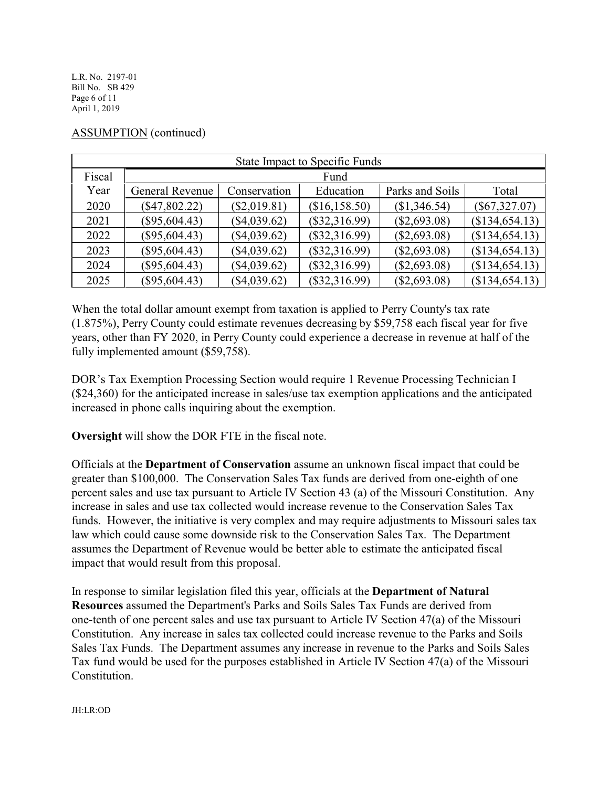L.R. No. 2197-01 Bill No. SB 429 Page 6 of 11 April 1, 2019

| <b>State Impact to Specific Funds</b> |                 |                |                 |                 |                 |  |
|---------------------------------------|-----------------|----------------|-----------------|-----------------|-----------------|--|
| Fiscal                                |                 |                | Fund            |                 |                 |  |
| Year                                  | General Revenue | Conservation   | Education       | Parks and Soils | Total           |  |
| 2020                                  | $(\$47,802.22)$ | $(\$2,019.81)$ | (\$16, 158.50)  | (\$1,346.54)    | $(\$67,327.07)$ |  |
| 2021                                  | $(\$95,604.43)$ | $(\$4,039.62)$ | $(\$32,316.99)$ | $(\$2,693.08)$  | (\$134,654.13)  |  |
| 2022                                  | $(\$95,604.43)$ | $(\$4,039.62)$ | (\$32,316.99)   | $(\$2,693.08)$  | (\$134,654.13)  |  |
| 2023                                  | $(\$95,604.43)$ | $(\$4,039.62)$ | (\$32,316.99)   | $(\$2,693.08)$  | (\$134,654.13)  |  |
| 2024                                  | $(\$95,604.43)$ | $(\$4,039.62)$ | $(\$32,316.99)$ | $(\$2,693.08)$  | (\$134,654.13)  |  |
| 2025                                  | $(\$95,604.43)$ | $(\$4,039.62)$ | $(\$32,316.99)$ | $(\$2,693.08)$  | (\$134,654.13)  |  |

## ASSUMPTION (continued)

When the total dollar amount exempt from taxation is applied to Perry County's tax rate (1.875%), Perry County could estimate revenues decreasing by \$59,758 each fiscal year for five years, other than FY 2020, in Perry County could experience a decrease in revenue at half of the fully implemented amount (\$59,758).

DOR's Tax Exemption Processing Section would require 1 Revenue Processing Technician I (\$24,360) for the anticipated increase in sales/use tax exemption applications and the anticipated increased in phone calls inquiring about the exemption.

**Oversight** will show the DOR FTE in the fiscal note.

Officials at the **Department of Conservation** assume an unknown fiscal impact that could be greater than \$100,000. The Conservation Sales Tax funds are derived from one-eighth of one percent sales and use tax pursuant to Article IV Section 43 (a) of the Missouri Constitution. Any increase in sales and use tax collected would increase revenue to the Conservation Sales Tax funds. However, the initiative is very complex and may require adjustments to Missouri sales tax law which could cause some downside risk to the Conservation Sales Tax. The Department assumes the Department of Revenue would be better able to estimate the anticipated fiscal impact that would result from this proposal.

In response to similar legislation filed this year, officials at the **Department of Natural Resources** assumed the Department's Parks and Soils Sales Tax Funds are derived from one-tenth of one percent sales and use tax pursuant to Article IV Section 47(a) of the Missouri Constitution. Any increase in sales tax collected could increase revenue to the Parks and Soils Sales Tax Funds. The Department assumes any increase in revenue to the Parks and Soils Sales Tax fund would be used for the purposes established in Article IV Section 47(a) of the Missouri Constitution.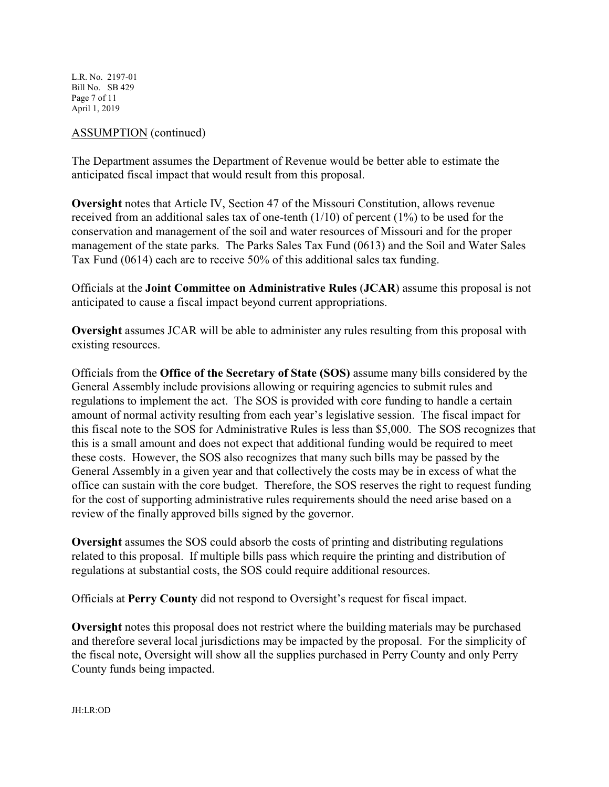L.R. No. 2197-01 Bill No. SB 429 Page 7 of 11 April 1, 2019

### ASSUMPTION (continued)

The Department assumes the Department of Revenue would be better able to estimate the anticipated fiscal impact that would result from this proposal.

**Oversight** notes that Article IV, Section 47 of the Missouri Constitution, allows revenue received from an additional sales tax of one-tenth (1/10) of percent (1%) to be used for the conservation and management of the soil and water resources of Missouri and for the proper management of the state parks. The Parks Sales Tax Fund (0613) and the Soil and Water Sales Tax Fund (0614) each are to receive 50% of this additional sales tax funding.

Officials at the **Joint Committee on Administrative Rules** (**JCAR**) assume this proposal is not anticipated to cause a fiscal impact beyond current appropriations.

**Oversight** assumes JCAR will be able to administer any rules resulting from this proposal with existing resources.

Officials from the **Office of the Secretary of State (SOS)** assume many bills considered by the General Assembly include provisions allowing or requiring agencies to submit rules and regulations to implement the act. The SOS is provided with core funding to handle a certain amount of normal activity resulting from each year's legislative session. The fiscal impact for this fiscal note to the SOS for Administrative Rules is less than \$5,000. The SOS recognizes that this is a small amount and does not expect that additional funding would be required to meet these costs. However, the SOS also recognizes that many such bills may be passed by the General Assembly in a given year and that collectively the costs may be in excess of what the office can sustain with the core budget. Therefore, the SOS reserves the right to request funding for the cost of supporting administrative rules requirements should the need arise based on a review of the finally approved bills signed by the governor.

**Oversight** assumes the SOS could absorb the costs of printing and distributing regulations related to this proposal. If multiple bills pass which require the printing and distribution of regulations at substantial costs, the SOS could require additional resources.

Officials at **Perry County** did not respond to Oversight's request for fiscal impact.

**Oversight** notes this proposal does not restrict where the building materials may be purchased and therefore several local jurisdictions may be impacted by the proposal. For the simplicity of the fiscal note, Oversight will show all the supplies purchased in Perry County and only Perry County funds being impacted.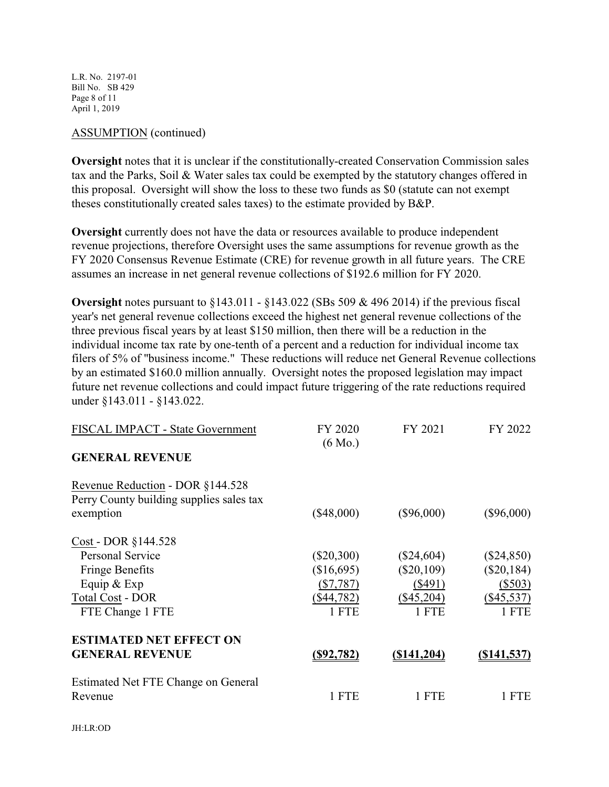L.R. No. 2197-01 Bill No. SB 429 Page 8 of 11 April 1, 2019

#### ASSUMPTION (continued)

**Oversight** notes that it is unclear if the constitutionally-created Conservation Commission sales tax and the Parks, Soil & Water sales tax could be exempted by the statutory changes offered in this proposal. Oversight will show the loss to these two funds as \$0 (statute can not exempt theses constitutionally created sales taxes) to the estimate provided by B&P.

**Oversight** currently does not have the data or resources available to produce independent revenue projections, therefore Oversight uses the same assumptions for revenue growth as the FY 2020 Consensus Revenue Estimate (CRE) for revenue growth in all future years. The CRE assumes an increase in net general revenue collections of \$192.6 million for FY 2020.

**Oversight** notes pursuant to §143.011 - §143.022 (SBs 509 & 496 2014) if the previous fiscal year's net general revenue collections exceed the highest net general revenue collections of the three previous fiscal years by at least \$150 million, then there will be a reduction in the individual income tax rate by one-tenth of a percent and a reduction for individual income tax filers of 5% of "business income." These reductions will reduce net General Revenue collections by an estimated \$160.0 million annually. Oversight notes the proposed legislation may impact future net revenue collections and could impact future triggering of the rate reductions required under §143.011 - §143.022.

| FISCAL IMPACT - State Government                                                          | FY 2020           | FY 2021           | FY 2022            |
|-------------------------------------------------------------------------------------------|-------------------|-------------------|--------------------|
| <b>GENERAL REVENUE</b>                                                                    | $(6 \text{ Mo.})$ |                   |                    |
| Revenue Reduction - DOR §144.528<br>Perry County building supplies sales tax<br>exemption | $(\$48,000)$      | $(\$96,000)$      | $(\$96,000)$       |
| Cost - DOR §144.528                                                                       |                   |                   |                    |
| <b>Personal Service</b>                                                                   | $(\$20,300)$      | $(\$24,604)$      | $(\$24,850)$       |
| <b>Fringe Benefits</b>                                                                    | (\$16,695)        | $(\$20,109)$      | $(\$20,184)$       |
| Equip $&$ Exp                                                                             | $(\$7,787)$       | $(\$491)$         | $(\$503)$          |
| <b>Total Cost - DOR</b>                                                                   | $(\$44,782)$      | $(\$45,204)$      | $(\$45,537)$       |
| FTE Change 1 FTE                                                                          | 1 FTE             | 1 FTE             | 1 FTE              |
| <b>ESTIMATED NET EFFECT ON</b><br><b>GENERAL REVENUE</b>                                  | <u>(\$92,782)</u> | $($ \$141,204 $)$ | <u>(\$141,537)</u> |
| Estimated Net FTE Change on General<br>Revenue                                            | 1 FTE             | 1 FTE             | 1 FTE              |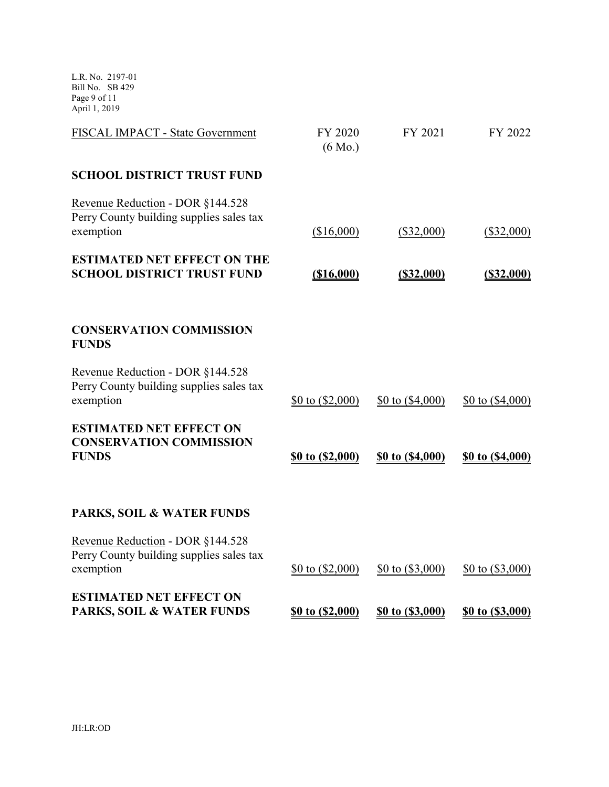L.R. No. 2197-01 Bill No. SB 429 Page 9 of 11 April 1, 2019

| FISCAL IMPACT - State Government                                                          | FY 2020<br>$(6 \text{ Mo.})$ | FY 2021                   | FY 2022                   |
|-------------------------------------------------------------------------------------------|------------------------------|---------------------------|---------------------------|
| <b>SCHOOL DISTRICT TRUST FUND</b>                                                         |                              |                           |                           |
| Revenue Reduction - DOR §144.528<br>Perry County building supplies sales tax<br>exemption | (\$16,000)                   | $(\$32,000)$              | $(\$32,000)$              |
| <b>ESTIMATED NET EFFECT ON THE</b><br><b>SCHOOL DISTRICT TRUST FUND</b>                   | ( \$16,000)                  | $($ \$32,000)             | $($ \$32,000)             |
| <b>CONSERVATION COMMISSION</b><br><b>FUNDS</b>                                            |                              |                           |                           |
| Revenue Reduction - DOR §144.528<br>Perry County building supplies sales tax<br>exemption | \$0 to $(\$2,000)$           | $$0 \text{ to } ($4,000)$ | $$0 \text{ to } ($4,000)$ |
| <b>ESTIMATED NET EFFECT ON</b><br><b>CONSERVATION COMMISSION</b><br><b>FUNDS</b>          | \$0 to (\$2,000)             | \$0 to (\$4,000)          | \$0 to (\$4,000)          |
| PARKS, SOIL & WATER FUNDS                                                                 |                              |                           |                           |
| Revenue Reduction - DOR §144.528<br>Perry County building supplies sales tax<br>exemption | \$0 to $(\$2,000)$           | \$0 to $(\$3,000)$        | $$0 \text{ to } ($3,000)$ |
| <b>ESTIMATED NET EFFECT ON</b><br>PARKS, SOIL & WATER FUNDS                               | \$0 to (\$2,000)             | \$0 to (\$3,000)          | \$0 to (\$3,000)          |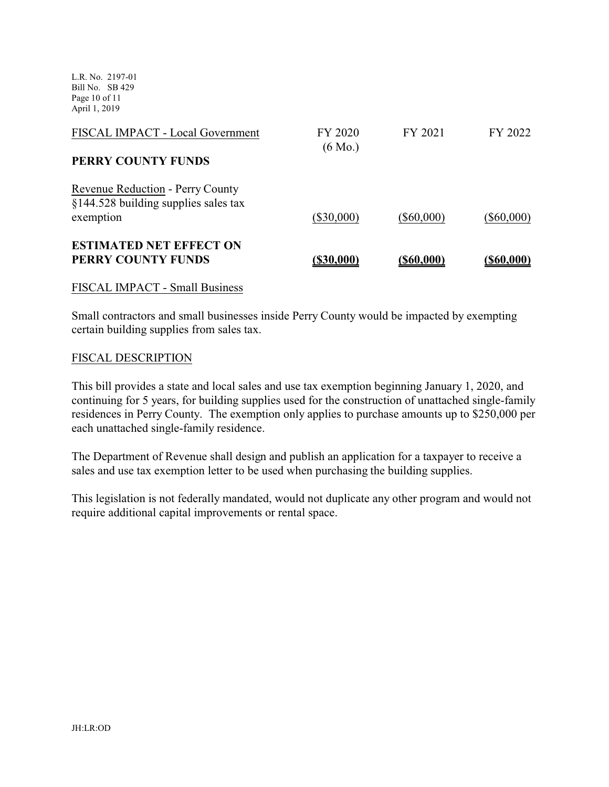L.R. No. 2197-01 Bill No. SB 429 Page 10 of 11 April 1, 2019

| FISCAL IMPACT - Local Government                                         | FY 2020<br>$(6 \text{ Mo.})$ | FY 2021      | FY 2022      |
|--------------------------------------------------------------------------|------------------------------|--------------|--------------|
| PERRY COUNTY FUNDS                                                       |                              |              |              |
| Revenue Reduction - Perry County<br>§144.528 building supplies sales tax |                              |              |              |
| exemption                                                                | $(\$30,000)$                 | $(\$60,000)$ | $(\$60,000)$ |
| <b>ESTIMATED NET EFFECT ON</b><br>PERRY COUNTY FUNDS                     | (\$30,000)                   | (\$60,000)   | (\$60.000)   |

### FISCAL IMPACT - Small Business

Small contractors and small businesses inside Perry County would be impacted by exempting certain building supplies from sales tax.

#### FISCAL DESCRIPTION

This bill provides a state and local sales and use tax exemption beginning January 1, 2020, and continuing for 5 years, for building supplies used for the construction of unattached single-family residences in Perry County. The exemption only applies to purchase amounts up to \$250,000 per each unattached single-family residence.

The Department of Revenue shall design and publish an application for a taxpayer to receive a sales and use tax exemption letter to be used when purchasing the building supplies.

This legislation is not federally mandated, would not duplicate any other program and would not require additional capital improvements or rental space.